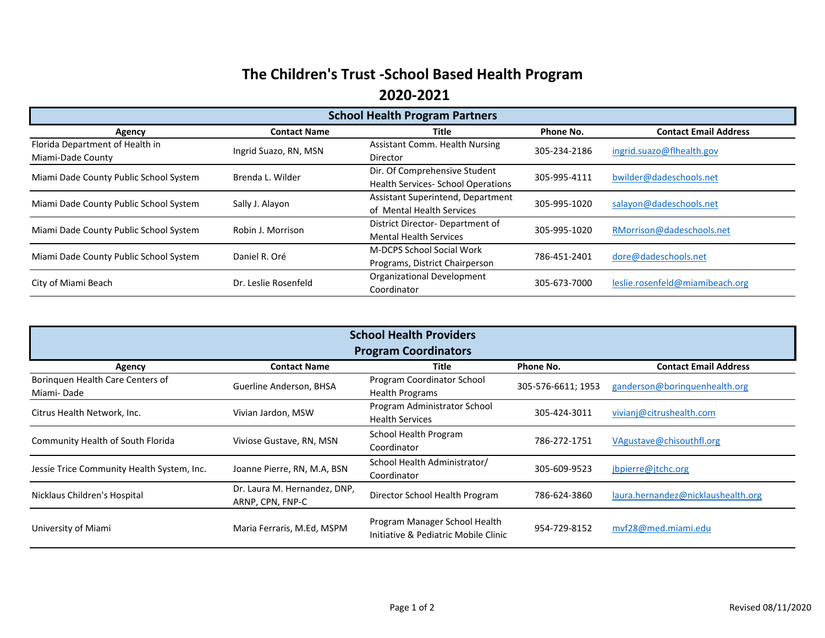## **The Children's Trust -School Based Health Program 2020-2021**

| <b>School Health Program Partners</b>  |                       |                                           |              |                                 |  |
|----------------------------------------|-----------------------|-------------------------------------------|--------------|---------------------------------|--|
| Agency                                 | <b>Contact Name</b>   | Title                                     | Phone No.    | <b>Contact Email Address</b>    |  |
| Florida Department of Health in        | Ingrid Suazo, RN, MSN | <b>Assistant Comm. Health Nursing</b>     | 305-234-2186 | ingrid.suazo@flhealth.gov       |  |
| Miami-Dade County                      |                       | <b>Director</b>                           |              |                                 |  |
| Miami Dade County Public School System | Brenda L. Wilder      | Dir. Of Comprehensive Student             | 305-995-4111 | bwilder@dadeschools.net         |  |
|                                        |                       | <b>Health Services- School Operations</b> |              |                                 |  |
| Miami Dade County Public School System | Sally J. Alayon       | Assistant Superintend, Department         | 305-995-1020 | salayon@dadeschools.net         |  |
|                                        |                       | of Mental Health Services                 |              |                                 |  |
| Miami Dade County Public School System | Robin J. Morrison     | District Director- Department of          | 305-995-1020 | RMorrison@dadeschools.net       |  |
|                                        |                       | <b>Mental Health Services</b>             |              |                                 |  |
| Miami Dade County Public School System | Daniel R. Oré         | <b>M-DCPS School Social Work</b>          | 786-451-2401 | dore@dadeschools.net            |  |
|                                        |                       | Programs, District Chairperson            |              |                                 |  |
| City of Miami Beach                    | Dr. Leslie Rosenfeld  | Organizational Development                | 305-673-7000 | leslie.rosenfeld@miamibeach.org |  |
|                                        |                       | Coordinator                               |              |                                 |  |

| <b>School Health Providers</b><br><b>Program Coordinators</b> |                                                  |                                                                       |                    |                                    |  |
|---------------------------------------------------------------|--------------------------------------------------|-----------------------------------------------------------------------|--------------------|------------------------------------|--|
| Agency                                                        | <b>Contact Name</b>                              | Title                                                                 | Phone No.          | <b>Contact Email Address</b>       |  |
| Borinquen Health Care Centers of<br>Miami-Dade                | Guerline Anderson, BHSA                          | Program Coordinator School<br><b>Health Programs</b>                  | 305-576-6611; 1953 | ganderson@boringuenhealth.org      |  |
| Citrus Health Network, Inc.                                   | Vivian Jardon, MSW                               | Program Administrator School<br><b>Health Services</b>                | 305-424-3011       | vivianj@citrushealth.com           |  |
| Community Health of South Florida                             | Viviose Gustave, RN, MSN                         | School Health Program<br>Coordinator                                  | 786-272-1751       | VAgustave@chisouthfl.org           |  |
| Jessie Trice Community Health System, Inc.                    | Joanne Pierre, RN, M.A, BSN                      | School Health Administrator/<br>Coordinator                           | 305-609-9523       | jbpierre@jtchc.org                 |  |
| Nicklaus Children's Hospital                                  | Dr. Laura M. Hernandez, DNP,<br>ARNP, CPN, FNP-C | Director School Health Program                                        | 786-624-3860       | laura.hernandez@nicklaushealth.org |  |
| University of Miami                                           | Maria Ferraris, M.Ed, MSPM                       | Program Manager School Health<br>Initiative & Pediatric Mobile Clinic | 954-729-8152       | mvf28@med.miami.edu                |  |